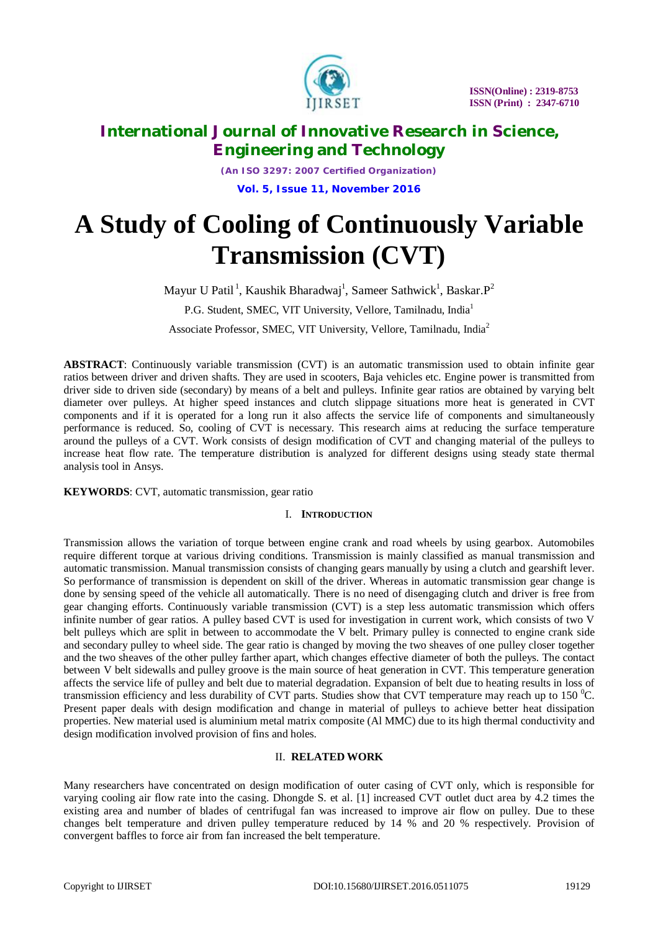

*(An ISO 3297: 2007 Certified Organization)* **Vol. 5, Issue 11, November 2016**

# **A Study of Cooling of Continuously Variable Transmission (CVT)**

Mayur U Patil<sup>1</sup>, Kaushik Bharadwaj<sup>1</sup>, Sameer Sathwick<sup>1</sup>, Baskar. P<sup>2</sup>

P.G. Student, SMEC, VIT University, Vellore, Tamilnadu, India<sup>1</sup>

Associate Professor, SMEC, VIT University, Vellore, Tamilnadu, India<sup>2</sup>

**ABSTRACT**: Continuously variable transmission (CVT) is an automatic transmission used to obtain infinite gear ratios between driver and driven shafts. They are used in scooters, Baja vehicles etc. Engine power is transmitted from driver side to driven side (secondary) by means of a belt and pulleys. Infinite gear ratios are obtained by varying belt diameter over pulleys. At higher speed instances and clutch slippage situations more heat is generated in CVT components and if it is operated for a long run it also affects the service life of components and simultaneously performance is reduced. So, cooling of CVT is necessary. This research aims at reducing the surface temperature around the pulleys of a CVT. Work consists of design modification of CVT and changing material of the pulleys to increase heat flow rate. The temperature distribution is analyzed for different designs using steady state thermal analysis tool in Ansys.

**KEYWORDS**: CVT, automatic transmission, gear ratio

#### I. **INTRODUCTION**

Transmission allows the variation of torque between engine crank and road wheels by using gearbox. Automobiles require different torque at various driving conditions. Transmission is mainly classified as manual transmission and automatic transmission. Manual transmission consists of changing gears manually by using a clutch and gearshift lever. So performance of transmission is dependent on skill of the driver. Whereas in automatic transmission gear change is done by sensing speed of the vehicle all automatically. There is no need of disengaging clutch and driver is free from gear changing efforts. Continuously variable transmission (CVT) is a step less automatic transmission which offers infinite number of gear ratios. A pulley based CVT is used for investigation in current work, which consists of two V belt pulleys which are split in between to accommodate the V belt. Primary pulley is connected to engine crank side and secondary pulley to wheel side. The gear ratio is changed by moving the two sheaves of one pulley closer together and the two sheaves of the other pulley farther apart, which changes effective diameter of both the pulleys. The contact between V belt sidewalls and pulley groove is the main source of heat generation in CVT. This temperature generation affects the service life of pulley and belt due to material degradation. Expansion of belt due to heating results in loss of transmission efficiency and less durability of CVT parts. Studies show that CVT temperature may reach up to 150  $^{\circ}$ C. Present paper deals with design modification and change in material of pulleys to achieve better heat dissipation properties. New material used is aluminium metal matrix composite (Al MMC) due to its high thermal conductivity and design modification involved provision of fins and holes.

### II. **RELATED WORK**

Many researchers have concentrated on design modification of outer casing of CVT only, which is responsible for varying cooling air flow rate into the casing. Dhongde S. et al. [1] increased CVT outlet duct area by 4.2 times the existing area and number of blades of centrifugal fan was increased to improve air flow on pulley. Due to these changes belt temperature and driven pulley temperature reduced by 14 % and 20 % respectively. Provision of convergent baffles to force air from fan increased the belt temperature.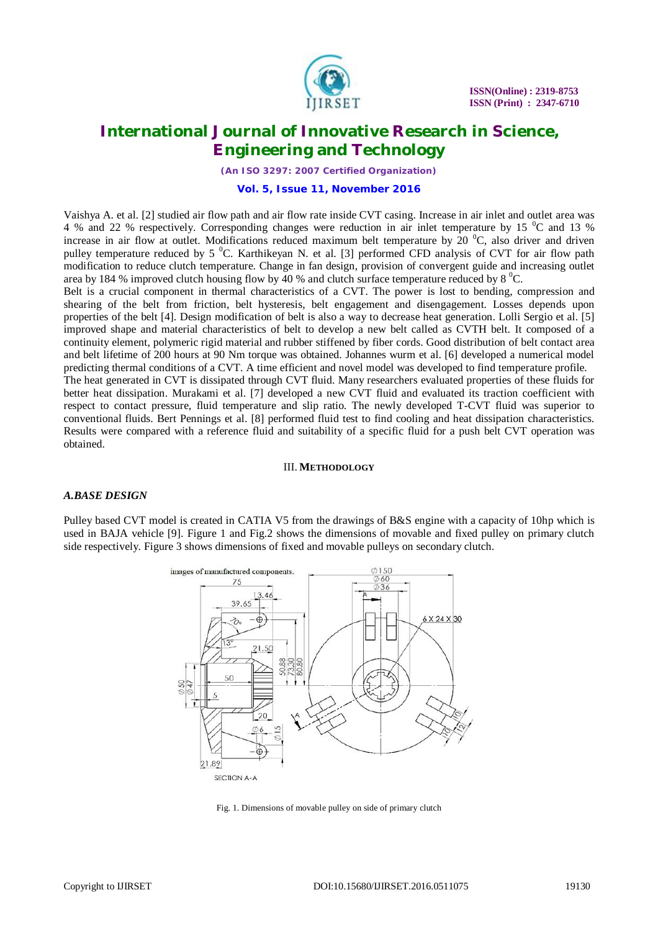

*(An ISO 3297: 2007 Certified Organization)*

#### **Vol. 5, Issue 11, November 2016**

Vaishya A. et al. [2] studied air flow path and air flow rate inside CVT casing. Increase in air inlet and outlet area was 4 % and 22 % respectively. Corresponding changes were reduction in air inlet temperature by 15  $\mathrm{^0C}$  and 13 % increase in air flow at outlet. Modifications reduced maximum belt temperature by 20  $\rm{^0C}$ , also driver and driven pulley temperature reduced by 5 <sup>0</sup>C. Karthikeyan N. et al. [3] performed CFD analysis of CVT for air flow path modification to reduce clutch temperature. Change in fan design, provision of convergent guide and increasing outlet area by 184 % improved clutch housing flow by 40 % and clutch surface temperature reduced by 8  $^{\circ}$ C.

Belt is a crucial component in thermal characteristics of a CVT. The power is lost to bending, compression and shearing of the belt from friction, belt hysteresis, belt engagement and disengagement. Losses depends upon properties of the belt [4]. Design modification of belt is also a way to decrease heat generation. Lolli Sergio et al. [5] improved shape and material characteristics of belt to develop a new belt called as CVTH belt. It composed of a continuity element, polymeric rigid material and rubber stiffened by fiber cords. Good distribution of belt contact area and belt lifetime of 200 hours at 90 Nm torque was obtained. Johannes wurm et al. [6] developed a numerical model predicting thermal conditions of a CVT. A time efficient and novel model was developed to find temperature profile.

The heat generated in CVT is dissipated through CVT fluid. Many researchers evaluated properties of these fluids for better heat dissipation. Murakami et al. [7] developed a new CVT fluid and evaluated its traction coefficient with respect to contact pressure, fluid temperature and slip ratio. The newly developed T-CVT fluid was superior to conventional fluids. Bert Pennings et al. [8] performed fluid test to find cooling and heat dissipation characteristics. Results were compared with a reference fluid and suitability of a specific fluid for a push belt CVT operation was obtained.

#### III. **METHODOLOGY**

#### *A.BASE DESIGN*

Pulley based CVT model is created in CATIA V5 from the drawings of B&S engine with a capacity of 10hp which is used in BAJA vehicle [9]. Figure 1 and Fig.2 shows the dimensions of movable and fixed pulley on primary clutch side respectively. Figure 3 shows dimensions of fixed and movable pulleys on secondary clutch.



Fig. 1. Dimensions of movable pulley on side of primary clutch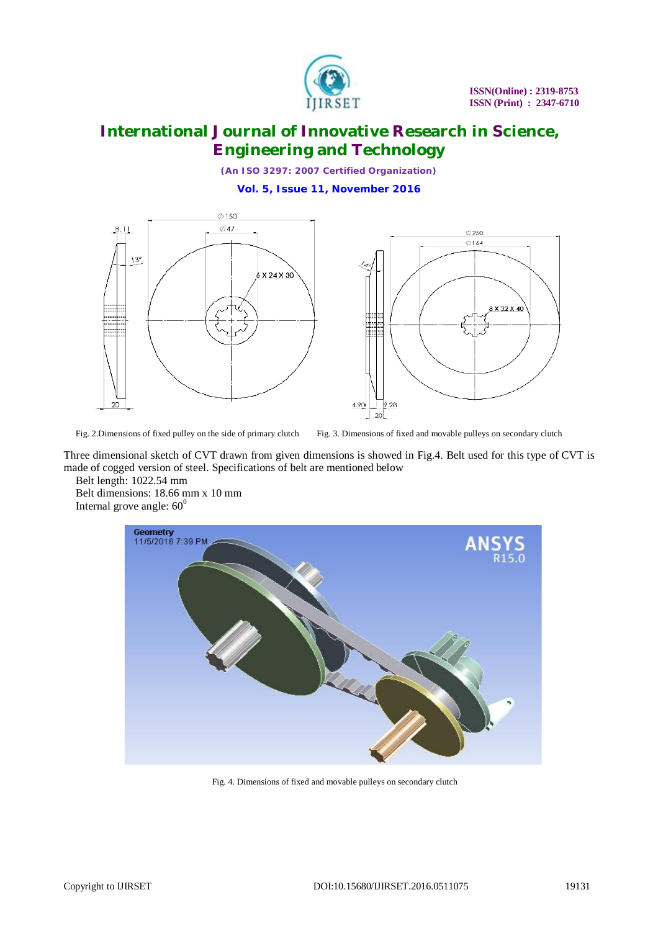

*(An ISO 3297: 2007 Certified Organization)*

**Vol. 5, Issue 11, November 2016**



Fig. 2.Dimensions of fixed pulley on the side of primary clutch Fig. 3. Dimensions of fixed and movable pulleys on secondary clutch

Three dimensional sketch of CVT drawn from given dimensions is showed in Fig.4. Belt used for this type of CVT is made of cogged version of steel. Specifications of belt are mentioned below

Belt length: 1022.54 mm Belt dimensions: 18.66 mm x 10 mm Internal grove angle:  $60^0$ 



Fig. 4. Dimensions of fixed and movable pulleys on secondary clutch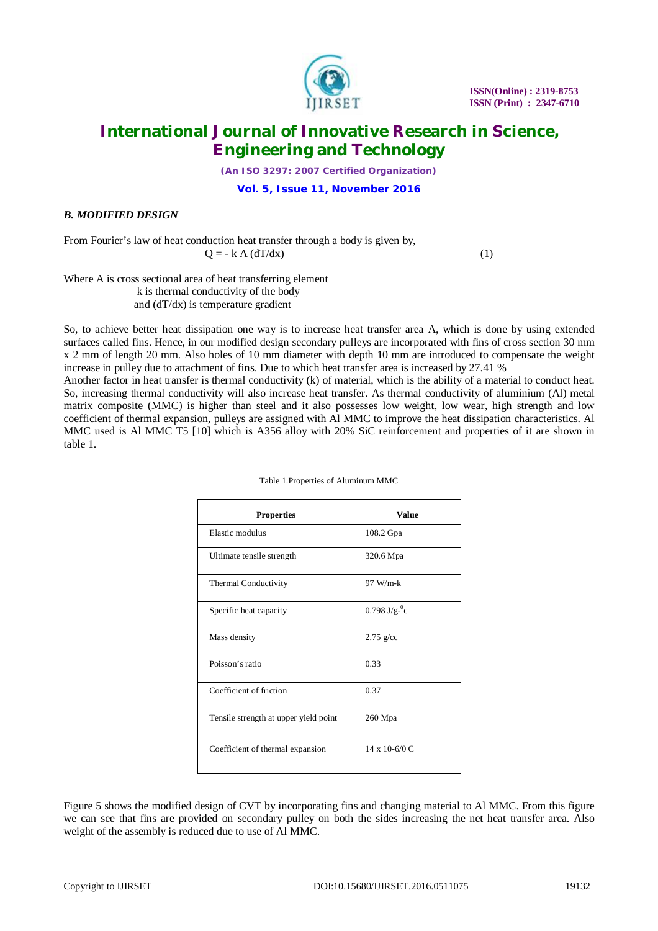

*(An ISO 3297: 2007 Certified Organization)*

**Vol. 5, Issue 11, November 2016**

### *B. MODIFIED DESIGN*

From Fourier's law of heat conduction heat transfer through a body is given by,  $Q = -k A (dT/dx)$  (1)

Where A is cross sectional area of heat transferring element k is thermal conductivity of the body and (dT/dx) is temperature gradient

So, to achieve better heat dissipation one way is to increase heat transfer area A, which is done by using extended surfaces called fins. Hence, in our modified design secondary pulleys are incorporated with fins of cross section 30 mm x 2 mm of length 20 mm. Also holes of 10 mm diameter with depth 10 mm are introduced to compensate the weight increase in pulley due to attachment of fins. Due to which heat transfer area is increased by 27.41 %

Another factor in heat transfer is thermal conductivity (k) of material, which is the ability of a material to conduct heat. So, increasing thermal conductivity will also increase heat transfer. As thermal conductivity of aluminium (Al) metal matrix composite (MMC) is higher than steel and it also possesses low weight, low wear, high strength and low coefficient of thermal expansion, pulleys are assigned with Al MMC to improve the heat dissipation characteristics. Al MMC used is Al MMC T5 [10] which is A356 alloy with 20% SiC reinforcement and properties of it are shown in table 1.

| <b>Properties</b>                     | <b>Value</b>              |
|---------------------------------------|---------------------------|
| Elastic modulus                       | 108.2 Gpa                 |
| Ultimate tensile strength             | 320.6 Mpa                 |
| Thermal Conductivity                  | $97 W/m-k$                |
| Specific heat capacity                | $0.798 \text{ J/g}^{-0}c$ |
| Mass density                          | $2.75$ g/cc               |
| Poisson's ratio                       | 0.33                      |
| Coefficient of friction               | 0.37                      |
| Tensile strength at upper yield point | 260 Mpa                   |
| Coefficient of thermal expansion      | $14 \times 10 - 6/0 C$    |

Table 1.Properties of Aluminum MMC

Figure 5 shows the modified design of CVT by incorporating fins and changing material to Al MMC. From this figure we can see that fins are provided on secondary pulley on both the sides increasing the net heat transfer area. Also weight of the assembly is reduced due to use of Al MMC.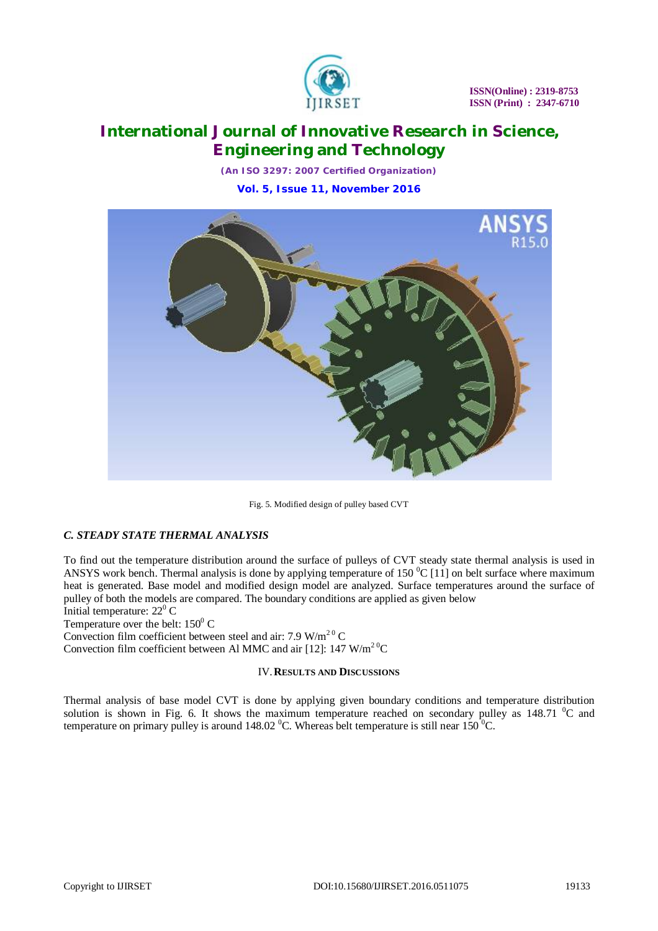

*(An ISO 3297: 2007 Certified Organization)* **Vol. 5, Issue 11, November 2016**



Fig. 5. Modified design of pulley based CVT

### *C. STEADY STATE THERMAL ANALYSIS*

To find out the temperature distribution around the surface of pulleys of CVT steady state thermal analysis is used in ANSYS work bench. Thermal analysis is done by applying temperature of 150  $^{\circ}$ C [11] on belt surface where maximum heat is generated. Base model and modified design model are analyzed. Surface temperatures around the surface of pulley of both the models are compared. The boundary conditions are applied as given below Initial temperature:  $22^{\circ}$  C

Temperature over the belt:  $150^{\circ}$  C

Convection film coefficient between steel and air: 7.9 W/m<sup>20</sup> C

Convection film coefficient between Al MMC and air [12]: 147  $W/m<sup>20</sup>C$ 

### IV.**RESULTS AND DISCUSSIONS**

Thermal analysis of base model CVT is done by applying given boundary conditions and temperature distribution solution is shown in Fig. 6. It shows the maximum temperature reached on secondary pulley as 148.71  $\degree$ C and temperature on primary pulley is around 148.02  $^{\circ}$ C. Whereas belt temperature is still near 150  $^{\circ}$ C.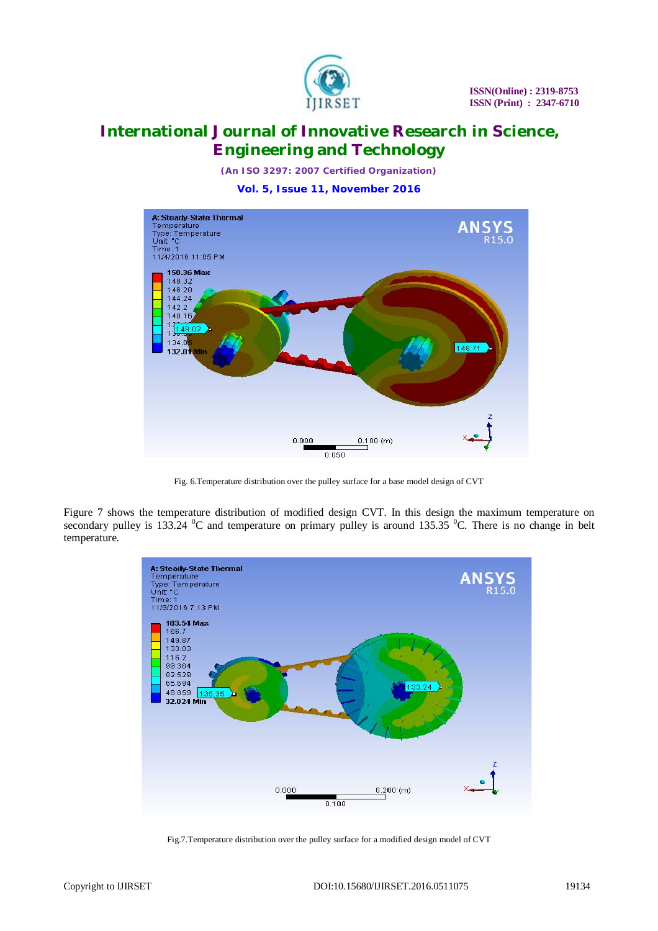

*(An ISO 3297: 2007 Certified Organization)*

**Vol. 5, Issue 11, November 2016**



Fig. 6.Temperature distribution over the pulley surface for a base model design of CVT

Figure 7 shows the temperature distribution of modified design CVT. In this design the maximum temperature on secondary pulley is 133.24  $\rm{^0C}$  and temperature on primary pulley is around 135.35  $\rm{^0C}$ . There is no change in belt temperature.



Fig.7.Temperature distribution over the pulley surface for a modified design model of CVT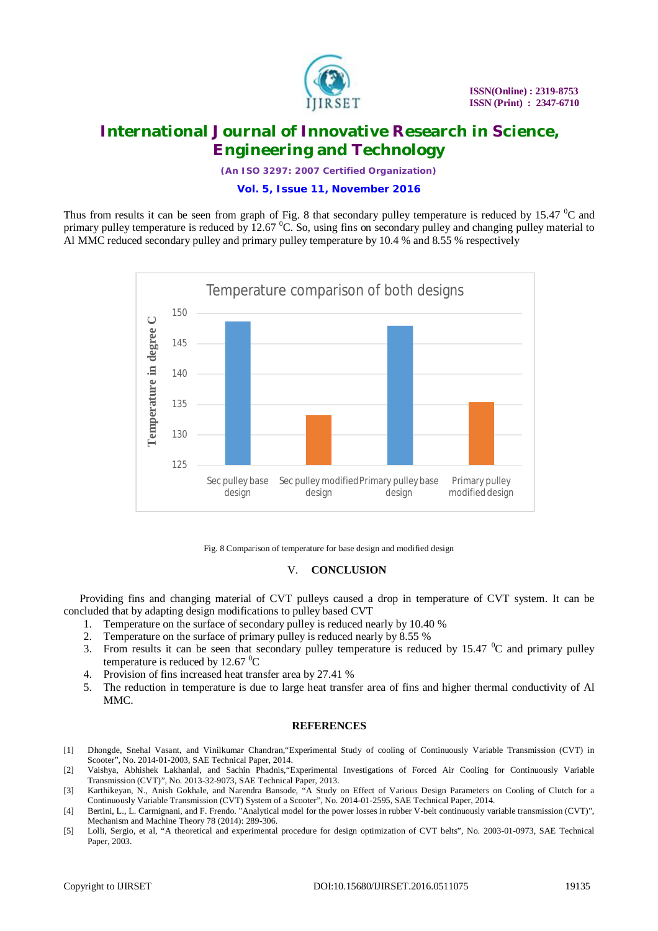

*(An ISO 3297: 2007 Certified Organization)*

#### **Vol. 5, Issue 11, November 2016**

Thus from results it can be seen from graph of Fig. 8 that secondary pulley temperature is reduced by 15.47  $\rm{^0C}$  and primary pulley temperature is reduced by  $12.67 \degree C$ . So, using fins on secondary pulley and changing pulley material to Al MMC reduced secondary pulley and primary pulley temperature by 10.4 % and 8.55 % respectively



Fig. 8 Comparison of temperature for base design and modified design

#### V. **CONCLUSION**

Providing fins and changing material of CVT pulleys caused a drop in temperature of CVT system. It can be concluded that by adapting design modifications to pulley based CVT

- 1. Temperature on the surface of secondary pulley is reduced nearly by 10.40 %
- 2. Temperature on the surface of primary pulley is reduced nearly by 8.55 %
- 3. From results it can be seen that secondary pulley temperature is reduced by 15.47  $\mathrm{^0C}$  and primary pulley temperature is reduced by 12.67 $\mathrm{^{0}C}$
- 4. Provision of fins increased heat transfer area by 27.41 %
- 5. The reduction in temperature is due to large heat transfer area of fins and higher thermal conductivity of Al MMC.

#### **REFERENCES**

- [1] Dhongde, Snehal Vasant, and Vinilkumar Chandran,"Experimental Study of cooling of Continuously Variable Transmission (CVT) in Scooter", No. 2014-01-2003, SAE Technical Paper, 2014.
- [2] Vaishya, Abhishek Lakhanlal, and Sachin Phadnis,"Experimental Investigations of Forced Air Cooling for Continuously Variable Transmission (CVT)", No. 2013-32-9073, SAE Technical Paper, 2013.
- [3] Karthikeyan, N., Anish Gokhale, and Narendra Bansode, "A Study on Effect of Various Design Parameters on Cooling of Clutch for a Continuously Variable Transmission (CVT) System of a Scooter", No. 2014-01-2595, SAE Technical Paper, 2014.
- [4] Bertini, L., L. Carmignani, and F. Frendo. "Analytical model for the power losses in rubber V-belt continuously variable transmission (CVT)", Mechanism and Machine Theory 78 (2014): 289-306.
- [5] Lolli, Sergio, et al, "A theoretical and experimental procedure for design optimization of CVT belts", No. 2003-01-0973, SAE Technical Paper, 2003.